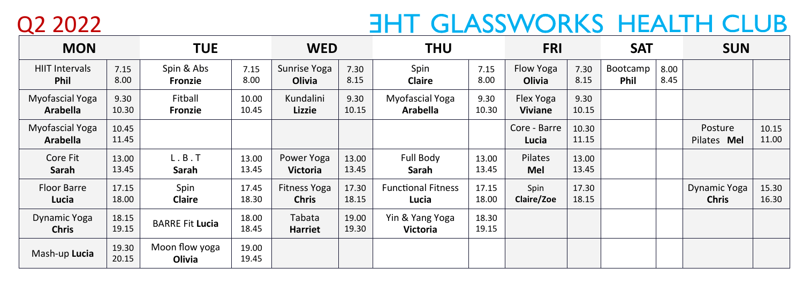Q2 2022

## **ENT GLASSWORKS HEALTH CLUB**

| <b>MON</b>                           |                | <b>TUE</b>               |                | <b>WED</b>                    |                | <b>THU</b>                         |                | <b>FRI</b>                  |                | <b>SAT</b>              |              | <b>SUN</b>                   |                |
|--------------------------------------|----------------|--------------------------|----------------|-------------------------------|----------------|------------------------------------|----------------|-----------------------------|----------------|-------------------------|--------------|------------------------------|----------------|
| <b>HIIT Intervals</b><br><b>Phil</b> | 7.15<br>8.00   | Spin & Abs<br>Fronzie    | 7.15<br>8.00   | Sunrise Yoga<br>Olivia        | 7.30<br>8.15   | Spin<br><b>Claire</b>              | 7.15<br>8.00   | Flow Yoga<br>Olivia         | 7.30<br>8.15   | Bootcamp<br><b>Phil</b> | 8.00<br>8.45 |                              |                |
| Myofascial Yoga<br><b>Arabella</b>   | 9.30<br>10.30  | Fitball<br>Fronzie       | 10.00<br>10.45 | Kundalini<br>Lizzie           | 9.30<br>10.15  | Myofascial Yoga<br><b>Arabella</b> | 9.30<br>10.30  | Flex Yoga<br><b>Viviane</b> | 9.30<br>10.15  |                         |              |                              |                |
| Myofascial Yoga<br><b>Arabella</b>   | 10.45<br>11.45 |                          |                |                               |                |                                    |                | Core - Barre<br>Lucia       | 10.30<br>11.15 |                         |              | Posture<br>Pilates Mel       | 10.15<br>11.00 |
| Core Fit<br>Sarah                    | 13.00<br>13.45 | L.B.T<br>Sarah           | 13.00<br>13.45 | Power Yoga<br><b>Victoria</b> | 13.00<br>13.45 | Full Body<br>Sarah                 | 13.00<br>13.45 | Pilates<br>Mel              | 13.00<br>13.45 |                         |              |                              |                |
| Floor Barre<br>Lucia                 | 17.15<br>18.00 | Spin<br><b>Claire</b>    | 17.45<br>18.30 | Fitness Yoga<br><b>Chris</b>  | 17.30<br>18.15 | <b>Functional Fitness</b><br>Lucia | 17.15<br>18.00 | Spin<br>Claire/Zoe          | 17.30<br>18.15 |                         |              | Dynamic Yoga<br><b>Chris</b> | 15.30<br>16.30 |
| Dynamic Yoga<br><b>Chris</b>         | 18.15<br>19.15 | <b>BARRE Fit Lucia</b>   | 18.00<br>18.45 | Tabata<br><b>Harriet</b>      | 19.00<br>19.30 | Yin & Yang Yoga<br><b>Victoria</b> | 18.30<br>19.15 |                             |                |                         |              |                              |                |
| Mash-up Lucia                        | 19.30<br>20.15 | Moon flow yoga<br>Olivia | 19.00<br>19.45 |                               |                |                                    |                |                             |                |                         |              |                              |                |